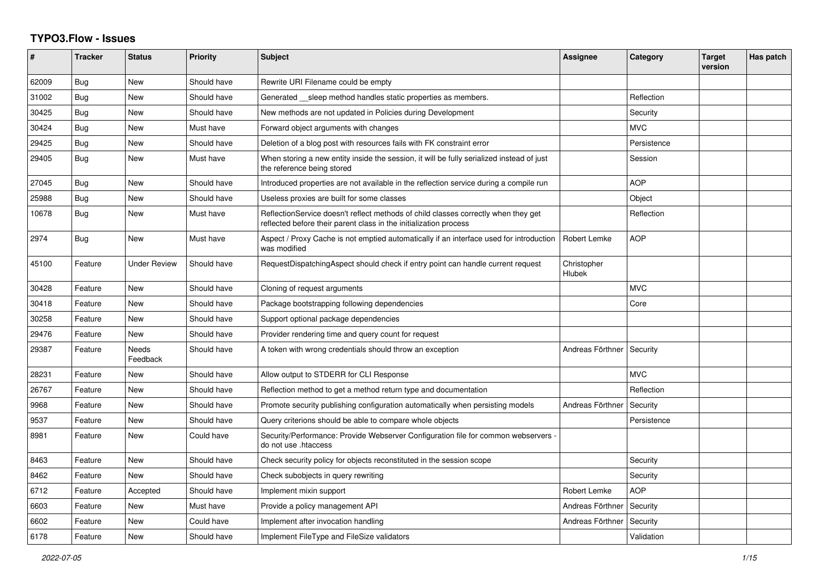## **TYPO3.Flow - Issues**

| #     | <b>Tracker</b> | <b>Status</b>            | <b>Priority</b> | <b>Subject</b>                                                                                                                                          | Assignee              | Category    | <b>Target</b><br>version | Has patch |
|-------|----------------|--------------------------|-----------------|---------------------------------------------------------------------------------------------------------------------------------------------------------|-----------------------|-------------|--------------------------|-----------|
| 62009 | Bug            | <b>New</b>               | Should have     | Rewrite URI Filename could be empty                                                                                                                     |                       |             |                          |           |
| 31002 | Bug            | <b>New</b>               | Should have     | Generated __sleep method handles static properties as members.                                                                                          |                       | Reflection  |                          |           |
| 30425 | <b>Bug</b>     | <b>New</b>               | Should have     | New methods are not updated in Policies during Development                                                                                              |                       | Security    |                          |           |
| 30424 | Bug            | New                      | Must have       | Forward object arguments with changes                                                                                                                   |                       | <b>MVC</b>  |                          |           |
| 29425 | Bug            | New                      | Should have     | Deletion of a blog post with resources fails with FK constraint error                                                                                   |                       | Persistence |                          |           |
| 29405 | <b>Bug</b>     | <b>New</b>               | Must have       | When storing a new entity inside the session, it will be fully serialized instead of just<br>the reference being stored                                 |                       | Session     |                          |           |
| 27045 | <b>Bug</b>     | New                      | Should have     | Introduced properties are not available in the reflection service during a compile run                                                                  |                       | <b>AOP</b>  |                          |           |
| 25988 | <b>Bug</b>     | <b>New</b>               | Should have     | Useless proxies are built for some classes                                                                                                              |                       | Object      |                          |           |
| 10678 | <b>Bug</b>     | New                      | Must have       | ReflectionService doesn't reflect methods of child classes correctly when they get<br>reflected before their parent class in the initialization process |                       | Reflection  |                          |           |
| 2974  | Bug            | <b>New</b>               | Must have       | Aspect / Proxy Cache is not emptied automatically if an interface used for introduction<br>was modified                                                 | Robert Lemke          | AOP         |                          |           |
| 45100 | Feature        | <b>Under Review</b>      | Should have     | RequestDispatchingAspect should check if entry point can handle current request                                                                         | Christopher<br>Hlubek |             |                          |           |
| 30428 | Feature        | New                      | Should have     | Cloning of request arguments                                                                                                                            |                       | <b>MVC</b>  |                          |           |
| 30418 | Feature        | <b>New</b>               | Should have     | Package bootstrapping following dependencies                                                                                                            |                       | Core        |                          |           |
| 30258 | Feature        | New                      | Should have     | Support optional package dependencies                                                                                                                   |                       |             |                          |           |
| 29476 | Feature        | New                      | Should have     | Provider rendering time and query count for request                                                                                                     |                       |             |                          |           |
| 29387 | Feature        | <b>Needs</b><br>Feedback | Should have     | A token with wrong credentials should throw an exception                                                                                                | Andreas Förthner      | Security    |                          |           |
| 28231 | Feature        | New                      | Should have     | Allow output to STDERR for CLI Response                                                                                                                 |                       | <b>MVC</b>  |                          |           |
| 26767 | Feature        | <b>New</b>               | Should have     | Reflection method to get a method return type and documentation                                                                                         |                       | Reflection  |                          |           |
| 9968  | Feature        | <b>New</b>               | Should have     | Promote security publishing configuration automatically when persisting models                                                                          | Andreas Förthnei      | Security    |                          |           |
| 9537  | Feature        | New                      | Should have     | Query criterions should be able to compare whole objects                                                                                                |                       | Persistence |                          |           |
| 8981  | Feature        | <b>New</b>               | Could have      | Security/Performance: Provide Webserver Configuration file for common webservers -<br>do not use .htaccess                                              |                       |             |                          |           |
| 8463  | Feature        | New                      | Should have     | Check security policy for objects reconstituted in the session scope                                                                                    |                       | Security    |                          |           |
| 8462  | Feature        | <b>New</b>               | Should have     | Check subobjects in query rewriting                                                                                                                     |                       | Security    |                          |           |
| 6712  | Feature        | Accepted                 | Should have     | Implement mixin support                                                                                                                                 | Robert Lemke          | <b>AOP</b>  |                          |           |
| 6603  | Feature        | New                      | Must have       | Provide a policy management API                                                                                                                         | Andreas Förthner      | Security    |                          |           |
| 6602  | Feature        | <b>New</b>               | Could have      | Implement after invocation handling                                                                                                                     | Andreas Förthnei      | Security    |                          |           |
| 6178  | Feature        | <b>New</b>               | Should have     | Implement FileType and FileSize validators                                                                                                              |                       | Validation  |                          |           |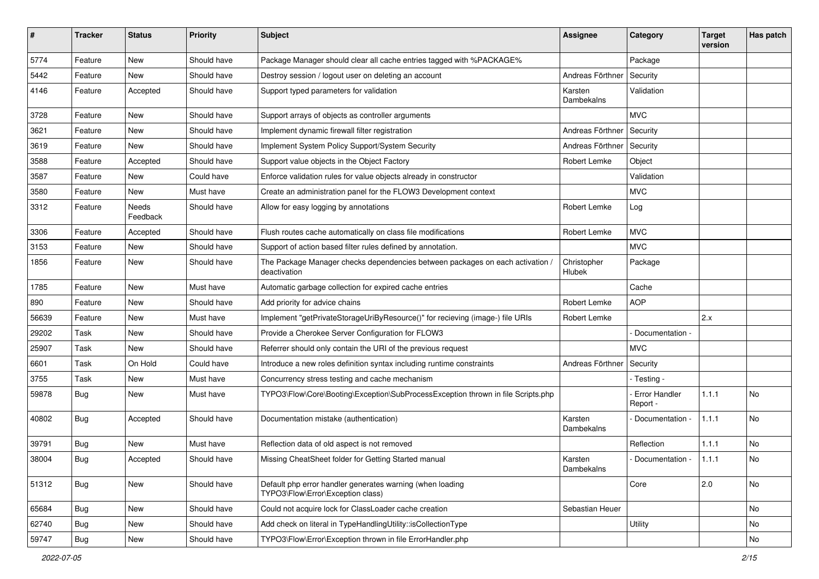| #     | <b>Tracker</b> | <b>Status</b>     | <b>Priority</b> | <b>Subject</b>                                                                                 | Assignee              | Category                         | <b>Target</b><br>version | Has patch |
|-------|----------------|-------------------|-----------------|------------------------------------------------------------------------------------------------|-----------------------|----------------------------------|--------------------------|-----------|
| 5774  | Feature        | <b>New</b>        | Should have     | Package Manager should clear all cache entries tagged with %PACKAGE%                           |                       | Package                          |                          |           |
| 5442  | Feature        | New               | Should have     | Destroy session / logout user on deleting an account                                           | Andreas Förthner      | Security                         |                          |           |
| 4146  | Feature        | Accepted          | Should have     | Support typed parameters for validation                                                        | Karsten<br>Dambekalns | Validation                       |                          |           |
| 3728  | Feature        | New               | Should have     | Support arrays of objects as controller arguments                                              |                       | <b>MVC</b>                       |                          |           |
| 3621  | Feature        | <b>New</b>        | Should have     | Implement dynamic firewall filter registration                                                 | Andreas Förthner      | Security                         |                          |           |
| 3619  | Feature        | New               | Should have     | Implement System Policy Support/System Security                                                | Andreas Förthner      | Security                         |                          |           |
| 3588  | Feature        | Accepted          | Should have     | Support value objects in the Object Factory                                                    | Robert Lemke          | Object                           |                          |           |
| 3587  | Feature        | New               | Could have      | Enforce validation rules for value objects already in constructor                              |                       | Validation                       |                          |           |
| 3580  | Feature        | New               | Must have       | Create an administration panel for the FLOW3 Development context                               |                       | <b>MVC</b>                       |                          |           |
| 3312  | Feature        | Needs<br>Feedback | Should have     | Allow for easy logging by annotations                                                          | Robert Lemke          | Log                              |                          |           |
| 3306  | Feature        | Accepted          | Should have     | Flush routes cache automatically on class file modifications                                   | Robert Lemke          | <b>MVC</b>                       |                          |           |
| 3153  | Feature        | <b>New</b>        | Should have     | Support of action based filter rules defined by annotation.                                    |                       | <b>MVC</b>                       |                          |           |
| 1856  | Feature        | New               | Should have     | The Package Manager checks dependencies between packages on each activation /<br>deactivation  | Christopher<br>Hlubek | Package                          |                          |           |
| 1785  | Feature        | <b>New</b>        | Must have       | Automatic garbage collection for expired cache entries                                         |                       | Cache                            |                          |           |
| 890   | Feature        | New               | Should have     | Add priority for advice chains                                                                 | Robert Lemke          | <b>AOP</b>                       |                          |           |
| 56639 | Feature        | New               | Must have       | Implement "getPrivateStorageUriByResource()" for recieving (image-) file URIs                  | Robert Lemke          |                                  | 2.x                      |           |
| 29202 | Task           | <b>New</b>        | Should have     | Provide a Cherokee Server Configuration for FLOW3                                              |                       | Documentation -                  |                          |           |
| 25907 | Task           | New               | Should have     | Referrer should only contain the URI of the previous request                                   |                       | <b>MVC</b>                       |                          |           |
| 6601  | Task           | On Hold           | Could have      | Introduce a new roles definition syntax including runtime constraints                          | Andreas Förthner      | Security                         |                          |           |
| 3755  | Task           | New               | Must have       | Concurrency stress testing and cache mechanism                                                 |                       | - Testing -                      |                          |           |
| 59878 | Bug            | New               | Must have       | TYPO3\Flow\Core\Booting\Exception\SubProcessException thrown in file Scripts.php               |                       | <b>Error Handler</b><br>Report - | 1.1.1                    | No        |
| 40802 | <b>Bug</b>     | Accepted          | Should have     | Documentation mistake (authentication)                                                         | Karsten<br>Dambekalns | Documentation -                  | 1.1.1                    | No        |
| 39791 | Bug            | New               | Must have       | Reflection data of old aspect is not removed                                                   |                       | Reflection                       | 1.1.1                    | No        |
| 38004 | Bug            | Accepted          | Should have     | Missing CheatSheet folder for Getting Started manual                                           | Karsten<br>Dambekalns | - Documentation -                | 1.1.1                    | No        |
| 51312 | Bug            | New               | Should have     | Default php error handler generates warning (when loading<br>TYPO3\Flow\Error\Exception class) |                       | Core                             | 2.0                      | No        |
| 65684 | <b>Bug</b>     | New               | Should have     | Could not acquire lock for ClassLoader cache creation                                          | Sebastian Heuer       |                                  |                          | No        |
| 62740 | <b>Bug</b>     | New               | Should have     | Add check on literal in TypeHandlingUtility::isCollectionType                                  |                       | Utility                          |                          | No        |
| 59747 | Bug            | New               | Should have     | TYPO3\Flow\Error\Exception thrown in file ErrorHandler.php                                     |                       |                                  |                          | No        |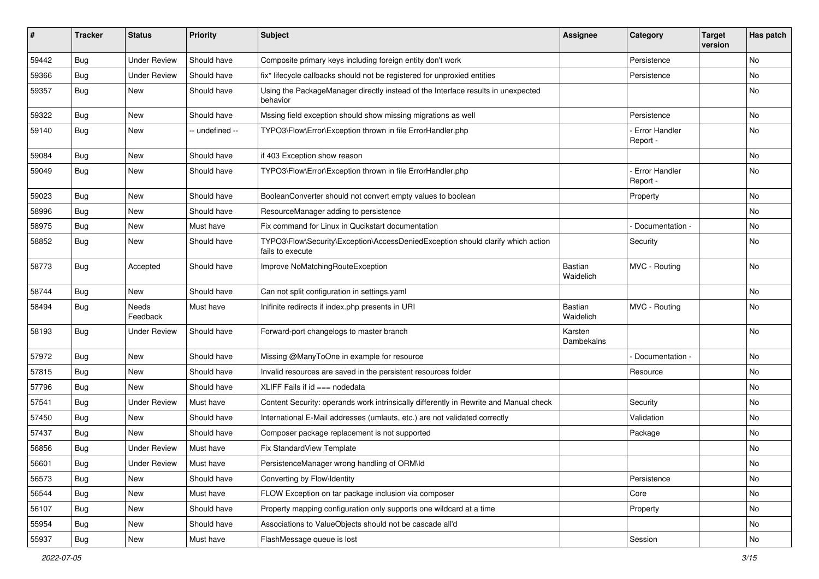| #     | <b>Tracker</b> | <b>Status</b>       | <b>Priority</b> | <b>Subject</b>                                                                                      | Assignee                    | Category                         | <b>Target</b><br>version | Has patch |
|-------|----------------|---------------------|-----------------|-----------------------------------------------------------------------------------------------------|-----------------------------|----------------------------------|--------------------------|-----------|
| 59442 | Bug            | <b>Under Review</b> | Should have     | Composite primary keys including foreign entity don't work                                          |                             | Persistence                      |                          | No        |
| 59366 | <b>Bug</b>     | <b>Under Review</b> | Should have     | fix* lifecycle callbacks should not be registered for unproxied entities                            |                             | Persistence                      |                          | No        |
| 59357 | <b>Bug</b>     | New                 | Should have     | Using the PackageManager directly instead of the Interface results in unexpected<br>behavior        |                             |                                  |                          | No        |
| 59322 | <b>Bug</b>     | <b>New</b>          | Should have     | Mssing field exception should show missing migrations as well                                       |                             | Persistence                      |                          | No.       |
| 59140 | <b>Bug</b>     | New                 | -- undefined -- | TYPO3\Flow\Error\Exception thrown in file ErrorHandler.php                                          |                             | <b>Error Handler</b><br>Report - |                          | No        |
| 59084 | <b>Bug</b>     | New                 | Should have     | if 403 Exception show reason                                                                        |                             |                                  |                          | No        |
| 59049 | Bug            | New                 | Should have     | TYPO3\Flow\Error\Exception thrown in file ErrorHandler.php                                          |                             | <b>Error Handler</b><br>Report - |                          | No        |
| 59023 | Bug            | New                 | Should have     | BooleanConverter should not convert empty values to boolean                                         |                             | Property                         |                          | No.       |
| 58996 | Bug            | New                 | Should have     | ResourceManager adding to persistence                                                               |                             |                                  |                          | No        |
| 58975 | <b>Bug</b>     | New                 | Must have       | Fix command for Linux in Qucikstart documentation                                                   |                             | Documentation -                  |                          | No        |
| 58852 | Bug            | New                 | Should have     | TYPO3\Flow\Security\Exception\AccessDeniedException should clarify which action<br>fails to execute |                             | Security                         |                          | No        |
| 58773 | <b>Bug</b>     | Accepted            | Should have     | Improve NoMatchingRouteException                                                                    | <b>Bastian</b><br>Waidelich | MVC - Routing                    |                          | No        |
| 58744 | <b>Bug</b>     | New                 | Should have     | Can not split configuration in settings.yaml                                                        |                             |                                  |                          | No        |
| 58494 | Bug            | Needs<br>Feedback   | Must have       | Inifinite redirects if index.php presents in URI                                                    | Bastian<br>Waidelich        | MVC - Routing                    |                          | No        |
| 58193 | <b>Bug</b>     | Under Review        | Should have     | Forward-port changelogs to master branch                                                            | Karsten<br>Dambekalns       |                                  |                          | No        |
| 57972 | <b>Bug</b>     | New                 | Should have     | Missing @ManyToOne in example for resource                                                          |                             | Documentation -                  |                          | No        |
| 57815 | <b>Bug</b>     | New                 | Should have     | Invalid resources are saved in the persistent resources folder                                      |                             | Resource                         |                          | No        |
| 57796 | <b>Bug</b>     | New                 | Should have     | XLIFF Fails if $id == node data$                                                                    |                             |                                  |                          | No.       |
| 57541 | <b>Bug</b>     | <b>Under Review</b> | Must have       | Content Security: operands work intrinsically differently in Rewrite and Manual check               |                             | Security                         |                          | No        |
| 57450 | Bug            | New                 | Should have     | International E-Mail addresses (umlauts, etc.) are not validated correctly                          |                             | Validation                       |                          | No.       |
| 57437 | Bug            | New                 | Should have     | Composer package replacement is not supported                                                       |                             | Package                          |                          | No        |
| 56856 | Bug            | <b>Under Review</b> | Must have       | Fix StandardView Template                                                                           |                             |                                  |                          | No        |
| 56601 | Bug            | <b>Under Review</b> | Must have       | PersistenceManager wrong handling of ORM\ld                                                         |                             |                                  |                          | INO.      |
| 56573 | Bug            | New                 | Should have     | Converting by Flow\Identity                                                                         |                             | Persistence                      |                          | No        |
| 56544 | Bug            | New                 | Must have       | FLOW Exception on tar package inclusion via composer                                                |                             | Core                             |                          | No        |
| 56107 | <b>Bug</b>     | New                 | Should have     | Property mapping configuration only supports one wildcard at a time                                 |                             | Property                         |                          | No        |
| 55954 | <b>Bug</b>     | New                 | Should have     | Associations to ValueObjects should not be cascade all'd                                            |                             |                                  |                          | No        |
| 55937 | Bug            | New                 | Must have       | FlashMessage queue is lost                                                                          |                             | Session                          |                          | No        |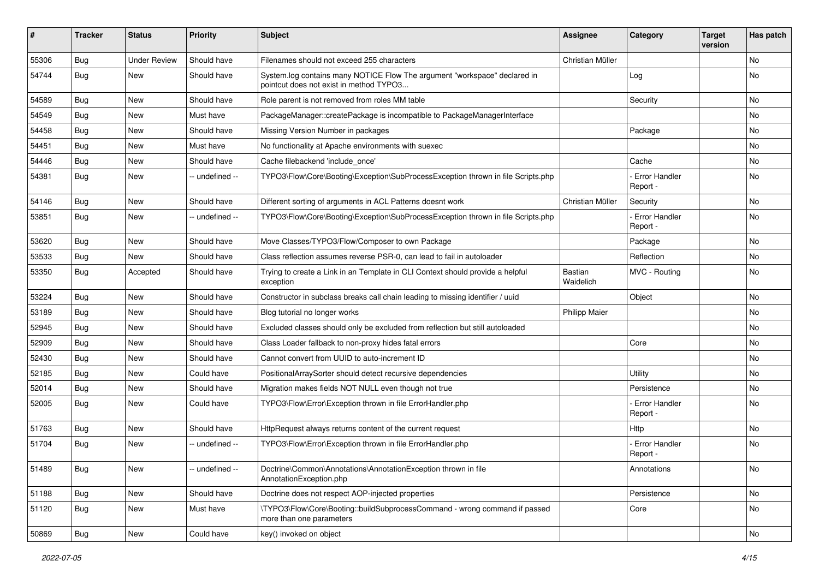| ∦     | <b>Tracker</b> | <b>Status</b>       | <b>Priority</b> | <b>Subject</b>                                                                                                       | <b>Assignee</b>      | Category                         | <b>Target</b><br>version | Has patch |
|-------|----------------|---------------------|-----------------|----------------------------------------------------------------------------------------------------------------------|----------------------|----------------------------------|--------------------------|-----------|
| 55306 | Bug            | <b>Under Review</b> | Should have     | Filenames should not exceed 255 characters                                                                           | Christian Müller     |                                  |                          | <b>No</b> |
| 54744 | <b>Bug</b>     | New                 | Should have     | System.log contains many NOTICE Flow The argument "workspace" declared in<br>pointcut does not exist in method TYPO3 |                      | Log                              |                          | <b>No</b> |
| 54589 | Bug            | <b>New</b>          | Should have     | Role parent is not removed from roles MM table                                                                       |                      | Security                         |                          | <b>No</b> |
| 54549 | Bug            | <b>New</b>          | Must have       | PackageManager::createPackage is incompatible to PackageManagerInterface                                             |                      |                                  |                          | <b>No</b> |
| 54458 | Bug            | <b>New</b>          | Should have     | Missing Version Number in packages                                                                                   |                      | Package                          |                          | <b>No</b> |
| 54451 | Bug            | New                 | Must have       | No functionality at Apache environments with suexec                                                                  |                      |                                  |                          | No        |
| 54446 | <b>Bug</b>     | New                 | Should have     | Cache filebackend 'include once'                                                                                     |                      | Cache                            |                          | No        |
| 54381 | Bug            | New                 | -- undefined -- | TYPO3\Flow\Core\Booting\Exception\SubProcessException thrown in file Scripts.php                                     |                      | <b>Error Handler</b><br>Report - |                          | No        |
| 54146 | Bug            | New                 | Should have     | Different sorting of arguments in ACL Patterns doesnt work                                                           | Christian Müller     | Security                         |                          | <b>No</b> |
| 53851 | Bug            | <b>New</b>          | -- undefined -- | TYPO3\Flow\Core\Booting\Exception\SubProcessException thrown in file Scripts.php                                     |                      | <b>Error Handler</b><br>Report - |                          | <b>No</b> |
| 53620 | Bug            | <b>New</b>          | Should have     | Move Classes/TYPO3/Flow/Composer to own Package                                                                      |                      | Package                          |                          | <b>No</b> |
| 53533 | Bug            | New                 | Should have     | Class reflection assumes reverse PSR-0, can lead to fail in autoloader                                               |                      | Reflection                       |                          | No        |
| 53350 | <b>Bug</b>     | Accepted            | Should have     | Trying to create a Link in an Template in CLI Context should provide a helpful<br>exception                          | Bastian<br>Waidelich | MVC - Routing                    |                          | No        |
| 53224 | Bug            | New                 | Should have     | Constructor in subclass breaks call chain leading to missing identifier / uuid                                       |                      | Object                           |                          | No        |
| 53189 | <b>Bug</b>     | New                 | Should have     | Blog tutorial no longer works                                                                                        | <b>Philipp Maier</b> |                                  |                          | No        |
| 52945 | Bug            | <b>New</b>          | Should have     | Excluded classes should only be excluded from reflection but still autoloaded                                        |                      |                                  |                          | <b>No</b> |
| 52909 | Bug            | New                 | Should have     | Class Loader fallback to non-proxy hides fatal errors                                                                |                      | Core                             |                          | No        |
| 52430 | Bug            | <b>New</b>          | Should have     | Cannot convert from UUID to auto-increment ID                                                                        |                      |                                  |                          | <b>No</b> |
| 52185 | Bug            | New                 | Could have      | PositionalArraySorter should detect recursive dependencies                                                           |                      | Utility                          |                          | No        |
| 52014 | <b>Bug</b>     | New                 | Should have     | Migration makes fields NOT NULL even though not true                                                                 |                      | Persistence                      |                          | <b>No</b> |
| 52005 | Bug            | New                 | Could have      | TYPO3\Flow\Error\Exception thrown in file ErrorHandler.php                                                           |                      | - Error Handler<br>Report -      |                          | No        |
| 51763 | <b>Bug</b>     | New                 | Should have     | HttpRequest always returns content of the current request                                                            |                      | Http                             |                          | No        |
| 51704 | Bug            | New                 | -- undefined -- | TYPO3\Flow\Error\Exception thrown in file ErrorHandler.php                                                           |                      | - Error Handler<br>Report -      |                          | No        |
| 51489 | <b>Bug</b>     | New                 | -- undefined -- | Doctrine\Common\Annotations\AnnotationException thrown in file<br>AnnotationException.php                            |                      | Annotations                      |                          | No        |
| 51188 | Bug            | New                 | Should have     | Doctrine does not respect AOP-injected properties                                                                    |                      | Persistence                      |                          | No        |
| 51120 | <b>Bug</b>     | New                 | Must have       | \TYPO3\Flow\Core\Booting::buildSubprocessCommand - wrong command if passed<br>more than one parameters               |                      | Core                             |                          | No        |
| 50869 | Bug            | New                 | Could have      | key() invoked on object                                                                                              |                      |                                  |                          | No        |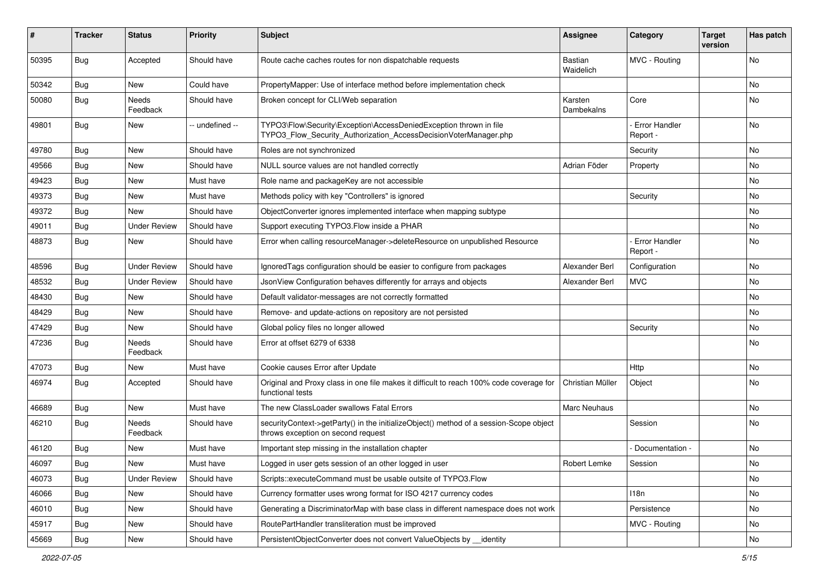| #     | Tracker    | <b>Status</b>       | <b>Priority</b> | <b>Subject</b>                                                                                                                         | <b>Assignee</b>             | Category                         | <b>Target</b><br>version | Has patch |
|-------|------------|---------------------|-----------------|----------------------------------------------------------------------------------------------------------------------------------------|-----------------------------|----------------------------------|--------------------------|-----------|
| 50395 | Bug        | Accepted            | Should have     | Route cache caches routes for non dispatchable requests                                                                                | <b>Bastian</b><br>Waidelich | MVC - Routing                    |                          | No        |
| 50342 | Bug        | New                 | Could have      | PropertyMapper: Use of interface method before implementation check                                                                    |                             |                                  |                          | No        |
| 50080 | <b>Bug</b> | Needs<br>Feedback   | Should have     | Broken concept for CLI/Web separation                                                                                                  | Karsten<br>Dambekalns       | Core                             |                          | No        |
| 49801 | Bug        | New                 | -- undefined -- | TYPO3\Flow\Security\Exception\AccessDeniedException thrown in file<br>TYPO3_Flow_Security_Authorization_AccessDecisionVoterManager.php |                             | Error Handler<br>Report -        |                          | No        |
| 49780 | <b>Bug</b> | New                 | Should have     | Roles are not synchronized                                                                                                             |                             | Security                         |                          | No        |
| 49566 | Bug        | New                 | Should have     | NULL source values are not handled correctly                                                                                           | Adrian Föder                | Property                         |                          | No        |
| 49423 | Bug        | New                 | Must have       | Role name and packageKey are not accessible                                                                                            |                             |                                  |                          | No        |
| 49373 | Bug        | New                 | Must have       | Methods policy with key "Controllers" is ignored                                                                                       |                             | Security                         |                          | No        |
| 49372 | Bug        | New                 | Should have     | ObjectConverter ignores implemented interface when mapping subtype                                                                     |                             |                                  |                          | No        |
| 49011 | Bug        | <b>Under Review</b> | Should have     | Support executing TYPO3. Flow inside a PHAR                                                                                            |                             |                                  |                          | No        |
| 48873 | Bug        | New                 | Should have     | Error when calling resourceManager->deleteResource on unpublished Resource                                                             |                             | <b>Error Handler</b><br>Report - |                          | No        |
| 48596 | Bug        | <b>Under Review</b> | Should have     | Ignored Tags configuration should be easier to configure from packages                                                                 | Alexander Berl              | Configuration                    |                          | <b>No</b> |
| 48532 | <b>Bug</b> | <b>Under Review</b> | Should have     | JsonView Configuration behaves differently for arrays and objects                                                                      | Alexander Berl              | <b>MVC</b>                       |                          | No        |
| 48430 | Bug        | New                 | Should have     | Default validator-messages are not correctly formatted                                                                                 |                             |                                  |                          | No        |
| 48429 | Bug        | New                 | Should have     | Remove- and update-actions on repository are not persisted                                                                             |                             |                                  |                          | No        |
| 47429 | <b>Bug</b> | <b>New</b>          | Should have     | Global policy files no longer allowed                                                                                                  |                             | Security                         |                          | No        |
| 47236 | Bug        | Needs<br>Feedback   | Should have     | Error at offset 6279 of 6338                                                                                                           |                             |                                  |                          | No        |
| 47073 | <b>Bug</b> | New                 | Must have       | Cookie causes Error after Update                                                                                                       |                             | Http                             |                          | No        |
| 46974 | Bug        | Accepted            | Should have     | Original and Proxy class in one file makes it difficult to reach 100% code coverage for<br>functional tests                            | Christian Müller            | Object                           |                          | <b>No</b> |
| 46689 | Bug        | New                 | Must have       | The new ClassLoader swallows Fatal Errors                                                                                              | <b>Marc Neuhaus</b>         |                                  |                          | No        |
| 46210 | Bug        | Needs<br>Feedback   | Should have     | securityContext->getParty() in the initializeObject() method of a session-Scope object<br>throws exception on second request           |                             | Session                          |                          | No        |
| 46120 | Bug        | New                 | Must have       | Important step missing in the installation chapter                                                                                     |                             | Documentation -                  |                          | No        |
| 46097 | Bug        | New                 | Must have       | Logged in user gets session of an other logged in user                                                                                 | Robert Lemke                | Session                          |                          | No        |
| 46073 | Bug        | <b>Under Review</b> | Should have     | Scripts::executeCommand must be usable outsite of TYPO3.Flow                                                                           |                             |                                  |                          | No        |
| 46066 | <b>Bug</b> | New                 | Should have     | Currency formatter uses wrong format for ISO 4217 currency codes                                                                       |                             | 118n                             |                          | No        |
| 46010 | Bug        | New                 | Should have     | Generating a DiscriminatorMap with base class in different namespace does not work                                                     |                             | Persistence                      |                          | No        |
| 45917 | <b>Bug</b> | New                 | Should have     | RoutePartHandler transliteration must be improved                                                                                      |                             | MVC - Routing                    |                          | No        |
| 45669 | <b>Bug</b> | New                 | Should have     | PersistentObjectConverter does not convert ValueObjects by __identity                                                                  |                             |                                  |                          | No        |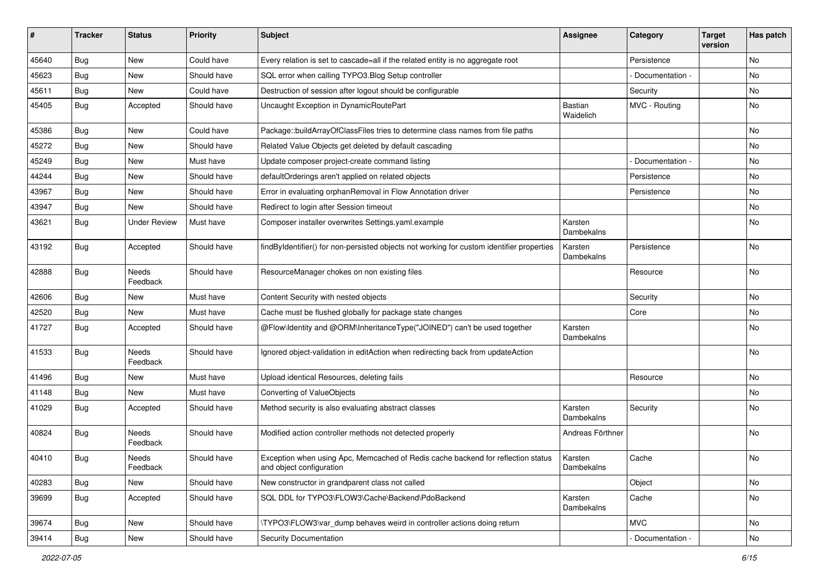| #     | <b>Tracker</b> | <b>Status</b>            | <b>Priority</b> | <b>Subject</b>                                                                                               | <b>Assignee</b>             | Category        | <b>Target</b><br>version | Has patch |
|-------|----------------|--------------------------|-----------------|--------------------------------------------------------------------------------------------------------------|-----------------------------|-----------------|--------------------------|-----------|
| 45640 | Bug            | New                      | Could have      | Every relation is set to cascade=all if the related entity is no aggregate root                              |                             | Persistence     |                          | No        |
| 45623 | Bug            | New                      | Should have     | SQL error when calling TYPO3. Blog Setup controller                                                          |                             | Documentation - |                          | No        |
| 45611 | Bug            | New                      | Could have      | Destruction of session after logout should be configurable                                                   |                             | Security        |                          | No        |
| 45405 | Bug            | Accepted                 | Should have     | Uncaught Exception in DynamicRoutePart                                                                       | <b>Bastian</b><br>Waidelich | MVC - Routing   |                          | No        |
| 45386 | <b>Bug</b>     | <b>New</b>               | Could have      | Package::buildArrayOfClassFiles tries to determine class names from file paths                               |                             |                 |                          | No.       |
| 45272 | Bug            | New                      | Should have     | Related Value Objects get deleted by default cascading                                                       |                             |                 |                          | No        |
| 45249 | Bug            | New                      | Must have       | Update composer project-create command listing                                                               |                             | Documentation - |                          | No        |
| 44244 | Bug            | New                      | Should have     | defaultOrderings aren't applied on related objects                                                           |                             | Persistence     |                          | No        |
| 43967 | Bug            | New                      | Should have     | Error in evaluating orphanRemoval in Flow Annotation driver                                                  |                             | Persistence     |                          | No        |
| 43947 | Bug            | New                      | Should have     | Redirect to login after Session timeout                                                                      |                             |                 |                          | No.       |
| 43621 | <b>Bug</b>     | <b>Under Review</b>      | Must have       | Composer installer overwrites Settings.yaml.example                                                          | Karsten<br>Dambekalns       |                 |                          | No        |
| 43192 | Bug            | Accepted                 | Should have     | findByIdentifier() for non-persisted objects not working for custom identifier properties                    | Karsten<br>Dambekalns       | Persistence     |                          | No        |
| 42888 | <b>Bug</b>     | <b>Needs</b><br>Feedback | Should have     | ResourceManager chokes on non existing files                                                                 |                             | Resource        |                          | No        |
| 42606 | Bug            | New                      | Must have       | Content Security with nested objects                                                                         |                             | Security        |                          | No        |
| 42520 | Bug            | New                      | Must have       | Cache must be flushed globally for package state changes                                                     |                             | Core            |                          | No        |
| 41727 | Bug            | Accepted                 | Should have     | @Flow\Identity and @ORM\InheritanceType("JOINED") can't be used together                                     | Karsten<br>Dambekalns       |                 |                          | No        |
| 41533 | Bug            | <b>Needs</b><br>Feedback | Should have     | Ignored object-validation in editAction when redirecting back from updateAction                              |                             |                 |                          | No        |
| 41496 | Bug            | New                      | Must have       | Upload identical Resources, deleting fails                                                                   |                             | Resource        |                          | No        |
| 41148 | <b>Bug</b>     | New                      | Must have       | Converting of ValueObjects                                                                                   |                             |                 |                          | No        |
| 41029 | Bug            | Accepted                 | Should have     | Method security is also evaluating abstract classes                                                          | Karsten<br>Dambekalns       | Security        |                          | No        |
| 40824 | Bug            | Needs<br>Feedback        | Should have     | Modified action controller methods not detected properly                                                     | Andreas Förthner            |                 |                          | No        |
| 40410 | <b>Bug</b>     | Needs<br>Feedback        | Should have     | Exception when using Apc, Memcached of Redis cache backend for reflection status<br>and object configuration | Karsten<br>Dambekalns       | Cache           |                          | No        |
| 40283 | <b>Bug</b>     | New                      | Should have     | New constructor in grandparent class not called                                                              |                             | Object          |                          | No        |
| 39699 | Bug            | Accepted                 | Should have     | SQL DDL for TYPO3\FLOW3\Cache\Backend\PdoBackend                                                             | Karsten<br>Dambekalns       | Cache           |                          | No        |
| 39674 | Bug            | New                      | Should have     | \TYPO3\FLOW3\var dump behaves weird in controller actions doing return                                       |                             | <b>MVC</b>      |                          | No        |
| 39414 | <b>Bug</b>     | New                      | Should have     | <b>Security Documentation</b>                                                                                |                             | Documentation - |                          | No        |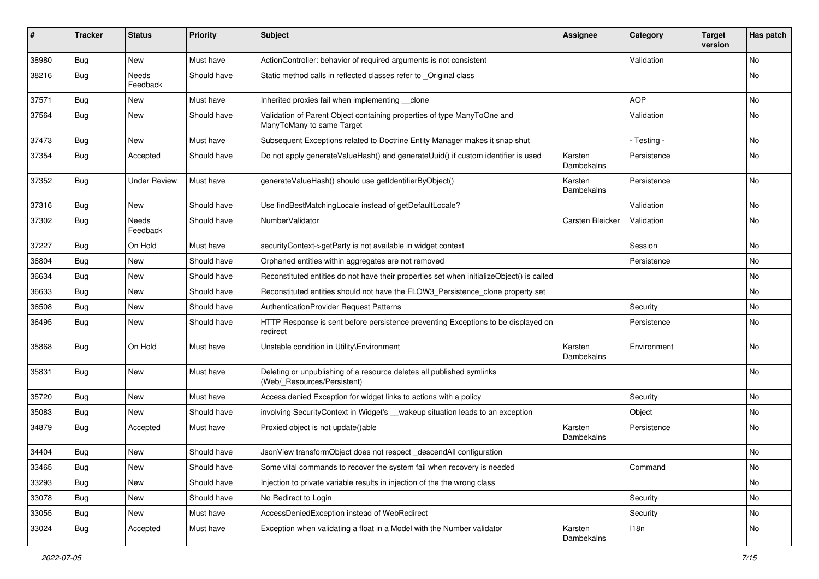| ∦     | <b>Tracker</b> | <b>Status</b>       | <b>Priority</b> | <b>Subject</b>                                                                                       | <b>Assignee</b>       | Category    | <b>Target</b><br>version | Has patch |
|-------|----------------|---------------------|-----------------|------------------------------------------------------------------------------------------------------|-----------------------|-------------|--------------------------|-----------|
| 38980 | Bug            | New                 | Must have       | ActionController: behavior of required arguments is not consistent                                   |                       | Validation  |                          | <b>No</b> |
| 38216 | <b>Bug</b>     | Needs<br>Feedback   | Should have     | Static method calls in reflected classes refer to _Original class                                    |                       |             |                          | No        |
| 37571 | Bug            | New                 | Must have       | Inherited proxies fail when implementing __clone                                                     |                       | <b>AOP</b>  |                          | No        |
| 37564 | Bug            | New                 | Should have     | Validation of Parent Object containing properties of type ManyToOne and<br>ManyToMany to same Target |                       | Validation  |                          | No        |
| 37473 | <b>Bug</b>     | <b>New</b>          | Must have       | Subsequent Exceptions related to Doctrine Entity Manager makes it snap shut                          |                       | - Testing - |                          | <b>No</b> |
| 37354 | Bug            | Accepted            | Should have     | Do not apply generateValueHash() and generateUuid() if custom identifier is used                     | Karsten<br>Dambekalns | Persistence |                          | No        |
| 37352 | Bug            | <b>Under Review</b> | Must have       | generateValueHash() should use getIdentifierByObject()                                               | Karsten<br>Dambekalns | Persistence |                          | No        |
| 37316 | Bug            | New                 | Should have     | Use findBestMatchingLocale instead of getDefaultLocale?                                              |                       | Validation  |                          | <b>No</b> |
| 37302 | Bug            | Needs<br>Feedback   | Should have     | NumberValidator                                                                                      | Carsten Bleicker      | Validation  |                          | <b>No</b> |
| 37227 | Bug            | On Hold             | Must have       | securityContext->getParty is not available in widget context                                         |                       | Session     |                          | <b>No</b> |
| 36804 | Bug            | New                 | Should have     | Orphaned entities within aggregates are not removed                                                  |                       | Persistence |                          | No        |
| 36634 | <b>Bug</b>     | <b>New</b>          | Should have     | Reconstituted entities do not have their properties set when initializeObject() is called            |                       |             |                          | <b>No</b> |
| 36633 | <b>Bug</b>     | New                 | Should have     | Reconstituted entities should not have the FLOW3_Persistence_clone property set                      |                       |             |                          | No        |
| 36508 | <b>Bug</b>     | New                 | Should have     | AuthenticationProvider Request Patterns                                                              |                       | Security    |                          | No        |
| 36495 | Bug            | New                 | Should have     | HTTP Response is sent before persistence preventing Exceptions to be displayed on<br>redirect        |                       | Persistence |                          | No        |
| 35868 | <b>Bug</b>     | On Hold             | Must have       | Unstable condition in Utility\Environment                                                            | Karsten<br>Dambekalns | Environment |                          | <b>No</b> |
| 35831 | Bug            | New                 | Must have       | Deleting or unpublishing of a resource deletes all published symlinks<br>(Web/_Resources/Persistent) |                       |             |                          | <b>No</b> |
| 35720 | Bug            | <b>New</b>          | Must have       | Access denied Exception for widget links to actions with a policy                                    |                       | Security    |                          | No        |
| 35083 | <b>Bug</b>     | New                 | Should have     | involving SecurityContext in Widget's __ wakeup situation leads to an exception                      |                       | Object      |                          | No        |
| 34879 | Bug            | Accepted            | Must have       | Proxied object is not update()able                                                                   | Karsten<br>Dambekalns | Persistence |                          | No        |
| 34404 | <b>Bug</b>     | <b>New</b>          | Should have     | JsonView transformObject does not respect_descendAll configuration                                   |                       |             |                          | No        |
| 33465 | <b>Bug</b>     | New                 | Should have     | Some vital commands to recover the system fail when recovery is needed                               |                       | Command     |                          | No        |
| 33293 | <b>Bug</b>     | New                 | Should have     | Injection to private variable results in injection of the the wrong class                            |                       |             |                          | No        |
| 33078 | <b>Bug</b>     | New                 | Should have     | No Redirect to Login                                                                                 |                       | Security    |                          | No        |
| 33055 | <b>Bug</b>     | New                 | Must have       | AccessDeniedException instead of WebRedirect                                                         |                       | Security    |                          | No        |
| 33024 | <b>Bug</b>     | Accepted            | Must have       | Exception when validating a float in a Model with the Number validator                               | Karsten<br>Dambekalns | 118n        |                          | No        |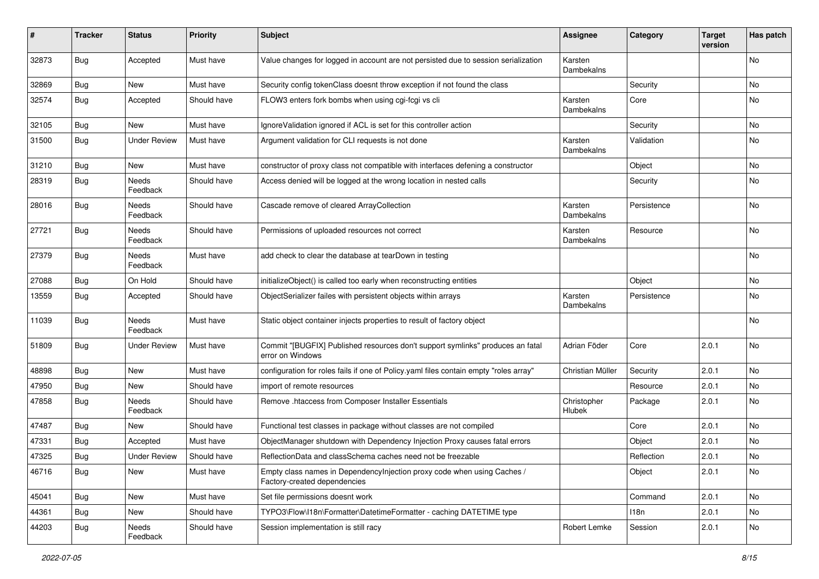| #     | Tracker    | <b>Status</b>       | <b>Priority</b> | <b>Subject</b>                                                                                          | <b>Assignee</b>       | Category    | <b>Target</b><br>version | Has patch |
|-------|------------|---------------------|-----------------|---------------------------------------------------------------------------------------------------------|-----------------------|-------------|--------------------------|-----------|
| 32873 | <b>Bug</b> | Accepted            | Must have       | Value changes for logged in account are not persisted due to session serialization                      | Karsten<br>Dambekalns |             |                          | No        |
| 32869 | <b>Bug</b> | New                 | Must have       | Security config tokenClass doesnt throw exception if not found the class                                |                       | Security    |                          | No        |
| 32574 | <b>Bug</b> | Accepted            | Should have     | FLOW3 enters fork bombs when using cgi-fcgi vs cli                                                      | Karsten<br>Dambekalns | Core        |                          | No        |
| 32105 | <b>Bug</b> | <b>New</b>          | Must have       | IgnoreValidation ignored if ACL is set for this controller action                                       |                       | Security    |                          | No        |
| 31500 | Bug        | <b>Under Review</b> | Must have       | Argument validation for CLI requests is not done                                                        | Karsten<br>Dambekalns | Validation  |                          | No        |
| 31210 | <b>Bug</b> | New                 | Must have       | constructor of proxy class not compatible with interfaces defening a constructor                        |                       | Object      |                          | No        |
| 28319 | <b>Bug</b> | Needs<br>Feedback   | Should have     | Access denied will be logged at the wrong location in nested calls                                      |                       | Security    |                          | No        |
| 28016 | <b>Bug</b> | Needs<br>Feedback   | Should have     | Cascade remove of cleared ArrayCollection                                                               | Karsten<br>Dambekalns | Persistence |                          | No        |
| 27721 | Bug        | Needs<br>Feedback   | Should have     | Permissions of uploaded resources not correct                                                           | Karsten<br>Dambekalns | Resource    |                          | No        |
| 27379 | <b>Bug</b> | Needs<br>Feedback   | Must have       | add check to clear the database at tearDown in testing                                                  |                       |             |                          | No        |
| 27088 | Bug        | On Hold             | Should have     | initializeObject() is called too early when reconstructing entities                                     |                       | Object      |                          | No        |
| 13559 | Bug        | Accepted            | Should have     | ObjectSerializer failes with persistent objects within arrays                                           | Karsten<br>Dambekalns | Persistence |                          | No        |
| 11039 | <b>Bug</b> | Needs<br>Feedback   | Must have       | Static object container injects properties to result of factory object                                  |                       |             |                          | No        |
| 51809 | <b>Bug</b> | <b>Under Review</b> | Must have       | Commit "[BUGFIX] Published resources don't support symlinks" produces an fatal<br>error on Windows      | Adrian Föder          | Core        | 2.0.1                    | No        |
| 48898 | Bug        | <b>New</b>          | Must have       | configuration for roles fails if one of Policy.yaml files contain empty "roles array"                   | Christian Müller      | Security    | 2.0.1                    | No        |
| 47950 | <b>Bug</b> | <b>New</b>          | Should have     | import of remote resources                                                                              |                       | Resource    | 2.0.1                    | No        |
| 47858 | <b>Bug</b> | Needs<br>Feedback   | Should have     | Remove .htaccess from Composer Installer Essentials                                                     | Christopher<br>Hlubek | Package     | 2.0.1                    | No        |
| 47487 | <b>Bug</b> | New                 | Should have     | Functional test classes in package without classes are not compiled                                     |                       | Core        | 2.0.1                    | No        |
| 47331 | <b>Bug</b> | Accepted            | Must have       | ObjectManager shutdown with Dependency Injection Proxy causes fatal errors                              |                       | Object      | 2.0.1                    | No        |
| 47325 | <b>Bug</b> | <b>Under Review</b> | Should have     | ReflectionData and classSchema caches need not be freezable                                             |                       | Reflection  | 2.0.1                    | No        |
| 46716 | Bug        | New                 | Must have       | Empty class names in DependencyInjection proxy code when using Caches /<br>Factory-created dependencies |                       | Object      | 2.0.1                    | No        |
| 45041 | <b>Bug</b> | New                 | Must have       | Set file permissions doesnt work                                                                        |                       | Command     | 2.0.1                    | No        |
| 44361 | Bug        | New                 | Should have     | TYPO3\Flow\I18n\Formatter\DatetimeFormatter - caching DATETIME type                                     |                       | 118n        | 2.0.1                    | No        |
| 44203 | Bug        | Needs<br>Feedback   | Should have     | Session implementation is still racy                                                                    | Robert Lemke          | Session     | 2.0.1                    | No        |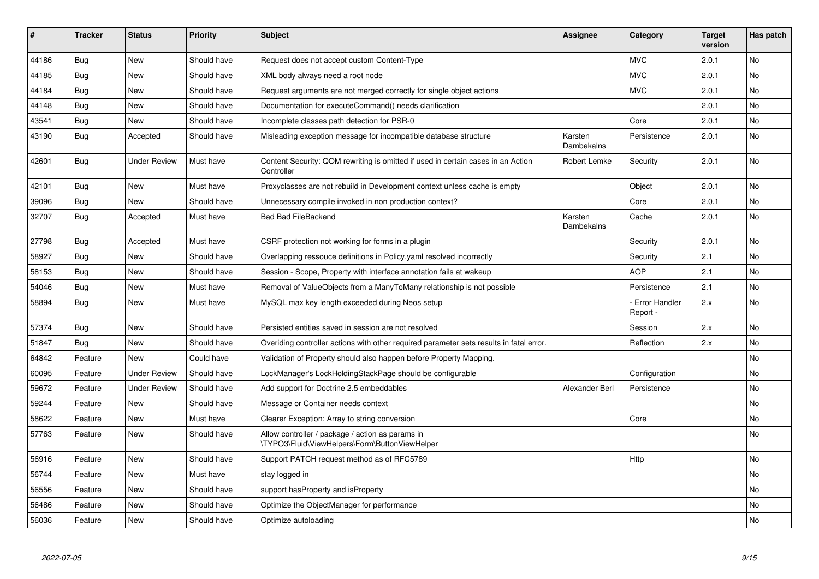| #     | <b>Tracker</b> | <b>Status</b>       | <b>Priority</b> | <b>Subject</b>                                                                                     | <b>Assignee</b>       | Category                         | <b>Target</b><br>version | Has patch      |
|-------|----------------|---------------------|-----------------|----------------------------------------------------------------------------------------------------|-----------------------|----------------------------------|--------------------------|----------------|
| 44186 | Bug            | <b>New</b>          | Should have     | Request does not accept custom Content-Type                                                        |                       | <b>MVC</b>                       | 2.0.1                    | <b>No</b>      |
| 44185 | Bug            | New                 | Should have     | XML body always need a root node                                                                   |                       | <b>MVC</b>                       | 2.0.1                    | No.            |
| 44184 | Bug            | New                 | Should have     | Request arguments are not merged correctly for single object actions                               |                       | <b>MVC</b>                       | 2.0.1                    | No             |
| 44148 | Bug            | <b>New</b>          | Should have     | Documentation for executeCommand() needs clarification                                             |                       |                                  | 2.0.1                    | No             |
| 43541 | Bug            | New                 | Should have     | Incomplete classes path detection for PSR-0                                                        |                       | Core                             | 2.0.1                    | No.            |
| 43190 | <b>Bug</b>     | Accepted            | Should have     | Misleading exception message for incompatible database structure                                   | Karsten<br>Dambekalns | Persistence                      | 2.0.1                    | <b>No</b>      |
| 42601 | <b>Bug</b>     | <b>Under Review</b> | Must have       | Content Security: QOM rewriting is omitted if used in certain cases in an Action<br>Controller     | Robert Lemke          | Security                         | 2.0.1                    | No             |
| 42101 | Bug            | <b>New</b>          | Must have       | Proxyclasses are not rebuild in Development context unless cache is empty                          |                       | Object                           | 2.0.1                    | <b>No</b>      |
| 39096 | Bug            | <b>New</b>          | Should have     | Unnecessary compile invoked in non production context?                                             |                       | Core                             | 2.0.1                    | No             |
| 32707 | <b>Bug</b>     | Accepted            | Must have       | <b>Bad Bad FileBackend</b>                                                                         | Karsten<br>Dambekalns | Cache                            | 2.0.1                    | No             |
| 27798 | Bug            | Accepted            | Must have       | CSRF protection not working for forms in a plugin                                                  |                       | Security                         | 2.0.1                    | No             |
| 58927 | Bug            | <b>New</b>          | Should have     | Overlapping ressouce definitions in Policy yaml resolved incorrectly                               |                       | Security                         | 2.1                      | No             |
| 58153 | Bug            | <b>New</b>          | Should have     | Session - Scope, Property with interface annotation fails at wakeup                                |                       | <b>AOP</b>                       | 2.1                      | No             |
| 54046 | Bug            | <b>New</b>          | Must have       | Removal of ValueObjects from a ManyToMany relationship is not possible                             |                       | Persistence                      | 2.1                      | <b>No</b>      |
| 58894 | Bug            | <b>New</b>          | Must have       | MySQL max key length exceeded during Neos setup                                                    |                       | <b>Error Handler</b><br>Report - | 2.x                      | <b>No</b>      |
| 57374 | Bug            | <b>New</b>          | Should have     | Persisted entities saved in session are not resolved                                               |                       | Session                          | 2.x                      | No             |
| 51847 | Bug            | <b>New</b>          | Should have     | Overiding controller actions with other required parameter sets results in fatal error.            |                       | Reflection                       | 2.x                      | <b>No</b>      |
| 64842 | Feature        | <b>New</b>          | Could have      | Validation of Property should also happen before Property Mapping.                                 |                       |                                  |                          | No             |
| 60095 | Feature        | <b>Under Review</b> | Should have     | LockManager's LockHoldingStackPage should be configurable                                          |                       | Configuration                    |                          | N <sub>o</sub> |
| 59672 | Feature        | <b>Under Review</b> | Should have     | Add support for Doctrine 2.5 embeddables                                                           | Alexander Berl        | Persistence                      |                          | <b>No</b>      |
| 59244 | Feature        | <b>New</b>          | Should have     | Message or Container needs context                                                                 |                       |                                  |                          | No             |
| 58622 | Feature        | New                 | Must have       | Clearer Exception: Array to string conversion                                                      |                       | Core                             |                          | No             |
| 57763 | Feature        | <b>New</b>          | Should have     | Allow controller / package / action as params in<br>\TYPO3\Fluid\ViewHelpers\Form\ButtonViewHelper |                       |                                  |                          | No             |
| 56916 | Feature        | <b>New</b>          | Should have     | Support PATCH request method as of RFC5789                                                         |                       | Http                             |                          | <b>No</b>      |
| 56744 | Feature        | <b>New</b>          | Must have       | stay logged in                                                                                     |                       |                                  |                          | No             |
| 56556 | Feature        | New                 | Should have     | support has Property and is Property                                                               |                       |                                  |                          | No             |
| 56486 | Feature        | New                 | Should have     | Optimize the ObjectManager for performance                                                         |                       |                                  |                          | No             |
| 56036 | Feature        | New                 | Should have     | Optimize autoloading                                                                               |                       |                                  |                          | No             |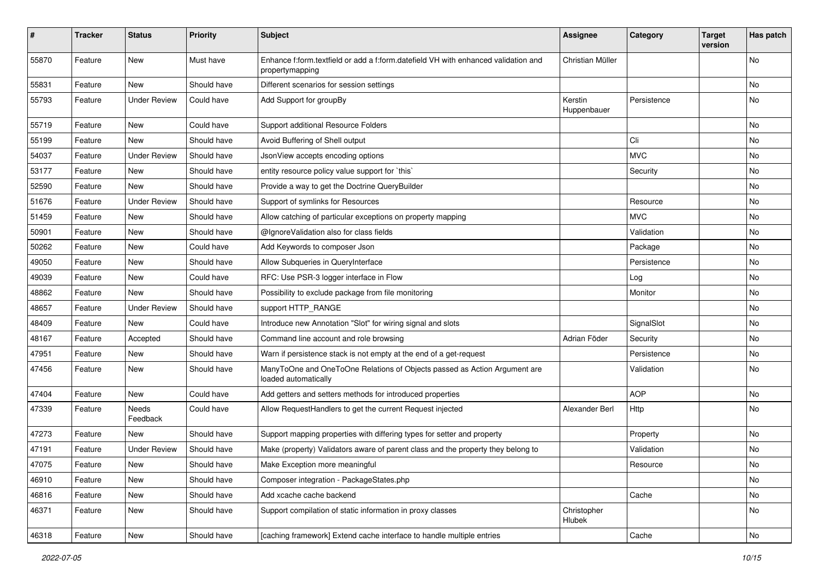| $\pmb{\#}$ | <b>Tracker</b> | <b>Status</b>       | <b>Priority</b> | <b>Subject</b>                                                                                        | Assignee               | Category    | <b>Target</b><br>version | Has patch |
|------------|----------------|---------------------|-----------------|-------------------------------------------------------------------------------------------------------|------------------------|-------------|--------------------------|-----------|
| 55870      | Feature        | <b>New</b>          | Must have       | Enhance f:form.textfield or add a f:form.datefield VH with enhanced validation and<br>propertymapping | Christian Müller       |             |                          | No        |
| 55831      | Feature        | <b>New</b>          | Should have     | Different scenarios for session settings                                                              |                        |             |                          | No        |
| 55793      | Feature        | <b>Under Review</b> | Could have      | Add Support for groupBy                                                                               | Kerstin<br>Huppenbauer | Persistence |                          | No        |
| 55719      | Feature        | <b>New</b>          | Could have      | Support additional Resource Folders                                                                   |                        |             |                          | No.       |
| 55199      | Feature        | New                 | Should have     | Avoid Buffering of Shell output                                                                       |                        | Cli         |                          | No        |
| 54037      | Feature        | <b>Under Review</b> | Should have     | JsonView accepts encoding options                                                                     |                        | <b>MVC</b>  |                          | No        |
| 53177      | Feature        | <b>New</b>          | Should have     | entity resource policy value support for `this`                                                       |                        | Security    |                          | No        |
| 52590      | Feature        | New                 | Should have     | Provide a way to get the Doctrine QueryBuilder                                                        |                        |             |                          | No        |
| 51676      | Feature        | <b>Under Review</b> | Should have     | Support of symlinks for Resources                                                                     |                        | Resource    |                          | No.       |
| 51459      | Feature        | New                 | Should have     | Allow catching of particular exceptions on property mapping                                           |                        | <b>MVC</b>  |                          | No        |
| 50901      | Feature        | <b>New</b>          | Should have     | @IgnoreValidation also for class fields                                                               |                        | Validation  |                          | No        |
| 50262      | Feature        | <b>New</b>          | Could have      | Add Keywords to composer Json                                                                         |                        | Package     |                          | No        |
| 49050      | Feature        | New                 | Should have     | Allow Subqueries in QueryInterface                                                                    |                        | Persistence |                          | No        |
| 49039      | Feature        | <b>New</b>          | Could have      | RFC: Use PSR-3 logger interface in Flow                                                               |                        | Log         |                          | No        |
| 48862      | Feature        | <b>New</b>          | Should have     | Possibility to exclude package from file monitoring                                                   |                        | Monitor     |                          | No        |
| 48657      | Feature        | <b>Under Review</b> | Should have     | support HTTP_RANGE                                                                                    |                        |             |                          | No        |
| 48409      | Feature        | <b>New</b>          | Could have      | Introduce new Annotation "Slot" for wiring signal and slots                                           |                        | SignalSlot  |                          | No        |
| 48167      | Feature        | Accepted            | Should have     | Command line account and role browsing                                                                | Adrian Föder           | Security    |                          | No        |
| 47951      | Feature        | <b>New</b>          | Should have     | Warn if persistence stack is not empty at the end of a get-request                                    |                        | Persistence |                          | No        |
| 47456      | Feature        | New                 | Should have     | ManyToOne and OneToOne Relations of Objects passed as Action Argument are<br>loaded automatically     |                        | Validation  |                          | No        |
| 47404      | Feature        | <b>New</b>          | Could have      | Add getters and setters methods for introduced properties                                             |                        | <b>AOP</b>  |                          | No        |
| 47339      | Feature        | Needs<br>Feedback   | Could have      | Allow RequestHandlers to get the current Request injected                                             | Alexander Berl         | Http        |                          | No        |
| 47273      | Feature        | New                 | Should have     | Support mapping properties with differing types for setter and property                               |                        | Property    |                          | No.       |
| 47191      | Feature        | <b>Under Review</b> | Should have     | Make (property) Validators aware of parent class and the property they belong to                      |                        | Validation  |                          | No        |
| 47075      | Feature        | New                 | Should have     | Make Exception more meaningful                                                                        |                        | Resource    |                          | No        |
| 46910      | Feature        | New                 | Should have     | Composer integration - PackageStates.php                                                              |                        |             |                          | No        |
| 46816      | Feature        | New                 | Should have     | Add xcache cache backend                                                                              |                        | Cache       |                          | No        |
| 46371      | Feature        | New                 | Should have     | Support compilation of static information in proxy classes                                            | Christopher<br>Hlubek  |             |                          | No        |
| 46318      | Feature        | New                 | Should have     | [caching framework] Extend cache interface to handle multiple entries                                 |                        | Cache       |                          | No        |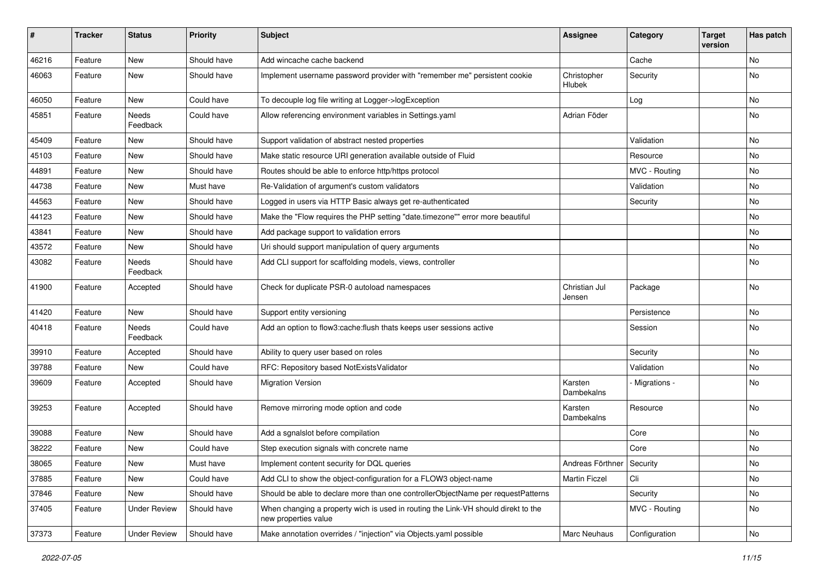| ∦     | <b>Tracker</b> | <b>Status</b>            | <b>Priority</b> | <b>Subject</b>                                                                                            | Assignee                  | Category       | <b>Target</b><br>version | Has patch |
|-------|----------------|--------------------------|-----------------|-----------------------------------------------------------------------------------------------------------|---------------------------|----------------|--------------------------|-----------|
| 46216 | Feature        | New                      | Should have     | Add wincache cache backend                                                                                |                           | Cache          |                          | No        |
| 46063 | Feature        | New                      | Should have     | Implement username password provider with "remember me" persistent cookie                                 | Christopher<br>Hlubek     | Security       |                          | No        |
| 46050 | Feature        | <b>New</b>               | Could have      | To decouple log file writing at Logger->logException                                                      |                           | Log            |                          | No        |
| 45851 | Feature        | Needs<br>Feedback        | Could have      | Allow referencing environment variables in Settings.yaml                                                  | Adrian Föder              |                |                          | No        |
| 45409 | Feature        | New                      | Should have     | Support validation of abstract nested properties                                                          |                           | Validation     |                          | No        |
| 45103 | Feature        | New                      | Should have     | Make static resource URI generation available outside of Fluid                                            |                           | Resource       |                          | No        |
| 44891 | Feature        | New                      | Should have     | Routes should be able to enforce http/https protocol                                                      |                           | MVC - Routing  |                          | No        |
| 44738 | Feature        | New                      | Must have       | Re-Validation of argument's custom validators                                                             |                           | Validation     |                          | No        |
| 44563 | Feature        | New                      | Should have     | Logged in users via HTTP Basic always get re-authenticated                                                |                           | Security       |                          | No        |
| 44123 | Feature        | New                      | Should have     | Make the "Flow requires the PHP setting "date.timezone"" error more beautiful                             |                           |                |                          | No        |
| 43841 | Feature        | New                      | Should have     | Add package support to validation errors                                                                  |                           |                |                          | No        |
| 43572 | Feature        | New                      | Should have     | Uri should support manipulation of query arguments                                                        |                           |                |                          | <b>No</b> |
| 43082 | Feature        | Needs<br>Feedback        | Should have     | Add CLI support for scaffolding models, views, controller                                                 |                           |                |                          | No        |
| 41900 | Feature        | Accepted                 | Should have     | Check for duplicate PSR-0 autoload namespaces                                                             | Christian Jul<br>Jensen   | Package        |                          | No        |
| 41420 | Feature        | New                      | Should have     | Support entity versioning                                                                                 |                           | Persistence    |                          | No        |
| 40418 | Feature        | <b>Needs</b><br>Feedback | Could have      | Add an option to flow3:cache:flush thats keeps user sessions active                                       |                           | Session        |                          | <b>No</b> |
| 39910 | Feature        | Accepted                 | Should have     | Ability to query user based on roles                                                                      |                           | Security       |                          | No        |
| 39788 | Feature        | New                      | Could have      | RFC: Repository based NotExistsValidator                                                                  |                           | Validation     |                          | No        |
| 39609 | Feature        | Accepted                 | Should have     | <b>Migration Version</b>                                                                                  | Karsten<br>Dambekalns     | - Migrations - |                          | No        |
| 39253 | Feature        | Accepted                 | Should have     | Remove mirroring mode option and code                                                                     | Karsten<br>Dambekalns     | Resource       |                          | No        |
| 39088 | Feature        | <b>New</b>               | Should have     | Add a sgnalslot before compilation                                                                        |                           | Core           |                          | <b>No</b> |
| 38222 | Feature        | New                      | Could have      | Step execution signals with concrete name                                                                 |                           | Core           |                          | No        |
| 38065 | Feature        | New                      | Must have       | Implement content security for DQL queries                                                                | Andreas Förthner Security |                |                          | No        |
| 37885 | Feature        | New                      | Could have      | Add CLI to show the object-configuration for a FLOW3 object-name                                          | <b>Martin Ficzel</b>      | Cli            |                          | No        |
| 37846 | Feature        | New                      | Should have     | Should be able to declare more than one controllerObjectName per requestPatterns                          |                           | Security       |                          | No        |
| 37405 | Feature        | <b>Under Review</b>      | Should have     | When changing a property wich is used in routing the Link-VH should direkt to the<br>new properties value |                           | MVC - Routing  |                          | No        |
| 37373 | Feature        | <b>Under Review</b>      | Should have     | Make annotation overrides / "injection" via Objects.yaml possible                                         | Marc Neuhaus              | Configuration  |                          | No        |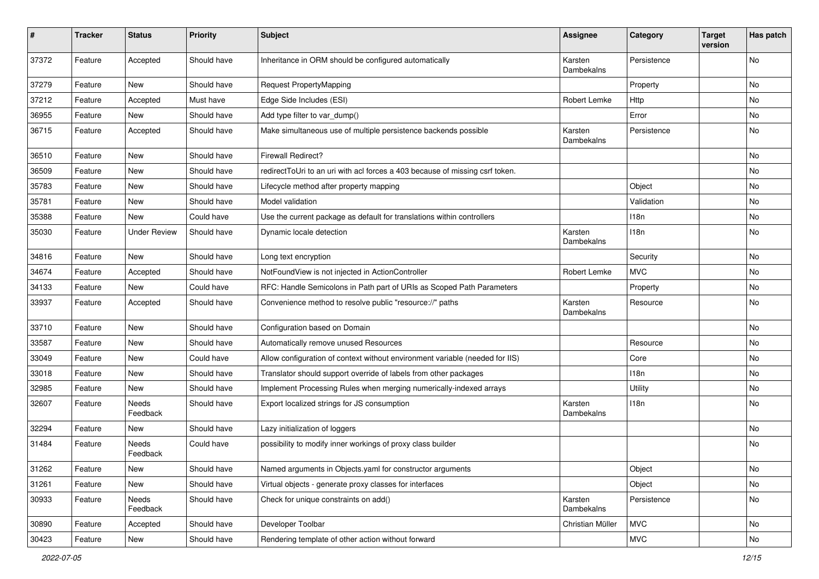| #     | <b>Tracker</b> | <b>Status</b>            | <b>Priority</b> | <b>Subject</b>                                                               | Assignee                     | Category    | <b>Target</b><br>version | Has patch |
|-------|----------------|--------------------------|-----------------|------------------------------------------------------------------------------|------------------------------|-------------|--------------------------|-----------|
| 37372 | Feature        | Accepted                 | Should have     | Inheritance in ORM should be configured automatically                        | Karsten<br>Dambekalns        | Persistence |                          | No        |
| 37279 | Feature        | New                      | Should have     | <b>Request PropertyMapping</b>                                               |                              | Property    |                          | <b>No</b> |
| 37212 | Feature        | Accepted                 | Must have       | Edge Side Includes (ESI)                                                     | Robert Lemke                 | Http        |                          | <b>No</b> |
| 36955 | Feature        | New                      | Should have     | Add type filter to var_dump()                                                |                              | Error       |                          | No        |
| 36715 | Feature        | Accepted                 | Should have     | Make simultaneous use of multiple persistence backends possible              | Karsten<br><b>Dambekalns</b> | Persistence |                          | No        |
| 36510 | Feature        | New                      | Should have     | <b>Firewall Redirect?</b>                                                    |                              |             |                          | <b>No</b> |
| 36509 | Feature        | New                      | Should have     | redirectToUri to an uri with acl forces a 403 because of missing csrf token. |                              |             |                          | No        |
| 35783 | Feature        | New                      | Should have     | Lifecycle method after property mapping                                      |                              | Object      |                          | No        |
| 35781 | Feature        | New                      | Should have     | Model validation                                                             |                              | Validation  |                          | No        |
| 35388 | Feature        | <b>New</b>               | Could have      | Use the current package as default for translations within controllers       |                              | 118n        |                          | No        |
| 35030 | Feature        | <b>Under Review</b>      | Should have     | Dynamic locale detection                                                     | Karsten<br>Dambekalns        | 118n        |                          | No        |
| 34816 | Feature        | New                      | Should have     | Long text encryption                                                         |                              | Security    |                          | No        |
| 34674 | Feature        | Accepted                 | Should have     | NotFoundView is not injected in ActionController                             | Robert Lemke                 | <b>MVC</b>  |                          | No        |
| 34133 | Feature        | New                      | Could have      | RFC: Handle Semicolons in Path part of URIs as Scoped Path Parameters        |                              | Property    |                          | No        |
| 33937 | Feature        | Accepted                 | Should have     | Convenience method to resolve public "resource://" paths                     | Karsten<br>Dambekalns        | Resource    |                          | <b>No</b> |
| 33710 | Feature        | <b>New</b>               | Should have     | Configuration based on Domain                                                |                              |             |                          | <b>No</b> |
| 33587 | Feature        | New                      | Should have     | Automatically remove unused Resources                                        |                              | Resource    |                          | No        |
| 33049 | Feature        | New                      | Could have      | Allow configuration of context without environment variable (needed for IIS) |                              | Core        |                          | <b>No</b> |
| 33018 | Feature        | New                      | Should have     | Translator should support override of labels from other packages             |                              | 118n        |                          | No        |
| 32985 | Feature        | New                      | Should have     | Implement Processing Rules when merging numerically-indexed arrays           |                              | Utility     |                          | No        |
| 32607 | Feature        | <b>Needs</b><br>Feedback | Should have     | Export localized strings for JS consumption                                  | Karsten<br>Dambekalns        | 118n        |                          | No        |
| 32294 | Feature        | New                      | Should have     | Lazy initialization of loggers                                               |                              |             |                          | No        |
| 31484 | Feature        | <b>Needs</b><br>Feedback | Could have      | possibility to modify inner workings of proxy class builder                  |                              |             |                          | No        |
| 31262 | Feature        | <b>New</b>               | Should have     | Named arguments in Objects.yaml for constructor arguments                    |                              | Object      |                          | No        |
| 31261 | Feature        | New                      | Should have     | Virtual objects - generate proxy classes for interfaces                      |                              | Object      |                          | No        |
| 30933 | Feature        | Needs<br>Feedback        | Should have     | Check for unique constraints on add()                                        | Karsten<br>Dambekalns        | Persistence |                          | No        |
| 30890 | Feature        | Accepted                 | Should have     | Developer Toolbar                                                            | Christian Müller             | <b>MVC</b>  |                          | No        |
| 30423 | Feature        | New                      | Should have     | Rendering template of other action without forward                           |                              | <b>MVC</b>  |                          | No        |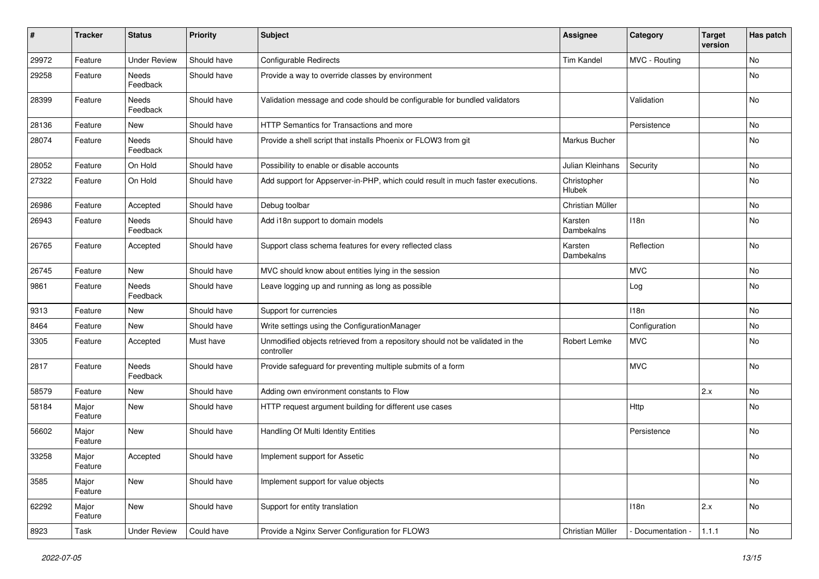| #     | <b>Tracker</b>   | <b>Status</b>       | <b>Priority</b> | Subject                                                                                     | <b>Assignee</b>       | Category          | <b>Target</b><br>version | Has patch |
|-------|------------------|---------------------|-----------------|---------------------------------------------------------------------------------------------|-----------------------|-------------------|--------------------------|-----------|
| 29972 | Feature          | <b>Under Review</b> | Should have     | <b>Configurable Redirects</b>                                                               | Tim Kandel            | MVC - Routing     |                          | No        |
| 29258 | Feature          | Needs<br>Feedback   | Should have     | Provide a way to override classes by environment                                            |                       |                   |                          | No        |
| 28399 | Feature          | Needs<br>Feedback   | Should have     | Validation message and code should be configurable for bundled validators                   |                       | Validation        |                          | <b>No</b> |
| 28136 | Feature          | New                 | Should have     | HTTP Semantics for Transactions and more                                                    |                       | Persistence       |                          | <b>No</b> |
| 28074 | Feature          | Needs<br>Feedback   | Should have     | Provide a shell script that installs Phoenix or FLOW3 from git                              | Markus Bucher         |                   |                          | No        |
| 28052 | Feature          | On Hold             | Should have     | Possibility to enable or disable accounts                                                   | Julian Kleinhans      | Security          |                          | No        |
| 27322 | Feature          | On Hold             | Should have     | Add support for Appserver-in-PHP, which could result in much faster executions.             | Christopher<br>Hlubek |                   |                          | No        |
| 26986 | Feature          | Accepted            | Should have     | Debug toolbar                                                                               | Christian Müller      |                   |                          | No        |
| 26943 | Feature          | Needs<br>Feedback   | Should have     | Add i18n support to domain models                                                           | Karsten<br>Dambekalns | 118n              |                          | No        |
| 26765 | Feature          | Accepted            | Should have     | Support class schema features for every reflected class                                     | Karsten<br>Dambekalns | Reflection        |                          | No        |
| 26745 | Feature          | <b>New</b>          | Should have     | MVC should know about entities lying in the session                                         |                       | <b>MVC</b>        |                          | No        |
| 9861  | Feature          | Needs<br>Feedback   | Should have     | Leave logging up and running as long as possible                                            |                       | Log               |                          | No        |
| 9313  | Feature          | <b>New</b>          | Should have     | Support for currencies                                                                      |                       | 118n              |                          | No        |
| 8464  | Feature          | New                 | Should have     | Write settings using the ConfigurationManager                                               |                       | Configuration     |                          | No        |
| 3305  | Feature          | Accepted            | Must have       | Unmodified objects retrieved from a repository should not be validated in the<br>controller | Robert Lemke          | <b>MVC</b>        |                          | No        |
| 2817  | Feature          | Needs<br>Feedback   | Should have     | Provide safeguard for preventing multiple submits of a form                                 |                       | <b>MVC</b>        |                          | No        |
| 58579 | Feature          | New                 | Should have     | Adding own environment constants to Flow                                                    |                       |                   | 2.x                      | No        |
| 58184 | Major<br>Feature | New                 | Should have     | HTTP request argument building for different use cases                                      |                       | Http              |                          | No        |
| 56602 | Major<br>Feature | New                 | Should have     | Handling Of Multi Identity Entities                                                         |                       | Persistence       |                          | No        |
| 33258 | Major<br>Feature | Accepted            | Should have     | Implement support for Assetic                                                               |                       |                   |                          | No        |
| 3585  | Major<br>Feature | New                 | Should have     | Implement support for value objects                                                         |                       |                   |                          | No        |
| 62292 | Major<br>Feature | New                 | Should have     | Support for entity translation                                                              |                       | 118n              | 2.x                      | No        |
| 8923  | Task             | <b>Under Review</b> | Could have      | Provide a Nginx Server Configuration for FLOW3                                              | Christian Müller      | - Documentation - | 1.1.1                    | No        |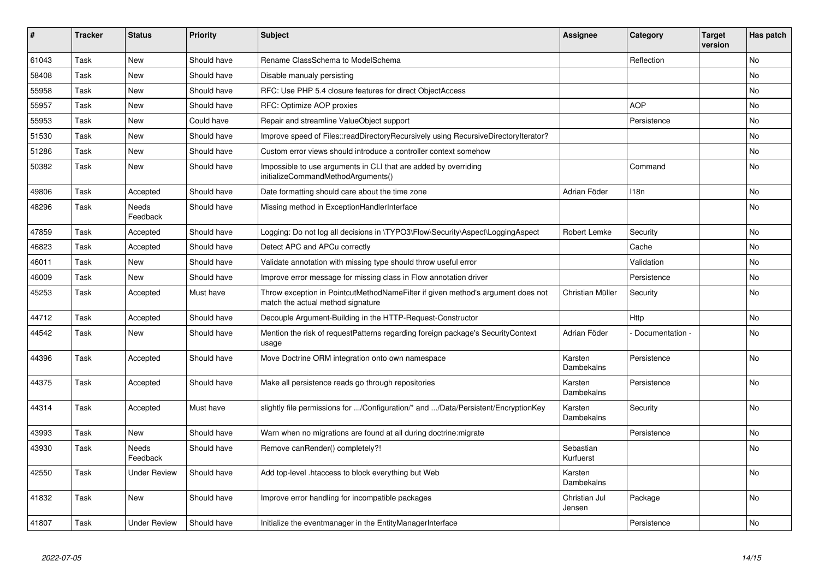| ∦     | <b>Tracker</b> | <b>Status</b>            | <b>Priority</b> | <b>Subject</b>                                                                                                       | Assignee                | Category         | <b>Target</b><br>version | Has patch |
|-------|----------------|--------------------------|-----------------|----------------------------------------------------------------------------------------------------------------------|-------------------------|------------------|--------------------------|-----------|
| 61043 | Task           | <b>New</b>               | Should have     | Rename ClassSchema to ModelSchema                                                                                    |                         | Reflection       |                          | <b>No</b> |
| 58408 | Task           | <b>New</b>               | Should have     | Disable manualy persisting                                                                                           |                         |                  |                          | No        |
| 55958 | Task           | <b>New</b>               | Should have     | RFC: Use PHP 5.4 closure features for direct ObjectAccess                                                            |                         |                  |                          | No        |
| 55957 | Task           | New                      | Should have     | RFC: Optimize AOP proxies                                                                                            |                         | <b>AOP</b>       |                          | <b>No</b> |
| 55953 | Task           | <b>New</b>               | Could have      | Repair and streamline ValueObject support                                                                            |                         | Persistence      |                          | No        |
| 51530 | Task           | <b>New</b>               | Should have     | Improve speed of Files::readDirectoryRecursively using RecursiveDirectoryIterator?                                   |                         |                  |                          | No        |
| 51286 | Task           | <b>New</b>               | Should have     | Custom error views should introduce a controller context somehow                                                     |                         |                  |                          | No        |
| 50382 | Task           | <b>New</b>               | Should have     | Impossible to use arguments in CLI that are added by overriding<br>initializeCommandMethodArguments()                |                         | Command          |                          | <b>No</b> |
| 49806 | Task           | Accepted                 | Should have     | Date formatting should care about the time zone                                                                      | Adrian Föder            | 118 <sub>n</sub> |                          | No        |
| 48296 | Task           | Needs<br>Feedback        | Should have     | Missing method in ExceptionHandlerInterface                                                                          |                         |                  |                          | No        |
| 47859 | Task           | Accepted                 | Should have     | Logging: Do not log all decisions in \TYPO3\Flow\Security\Aspect\LoggingAspect                                       | Robert Lemke            | Security         |                          | No        |
| 46823 | Task           | Accepted                 | Should have     | Detect APC and APCu correctly                                                                                        |                         | Cache            |                          | No        |
| 46011 | Task           | <b>New</b>               | Should have     | Validate annotation with missing type should throw useful error                                                      |                         | Validation       |                          | No        |
| 46009 | Task           | <b>New</b>               | Should have     | Improve error message for missing class in Flow annotation driver                                                    |                         | Persistence      |                          | No        |
| 45253 | Task           | Accepted                 | Must have       | Throw exception in PointcutMethodNameFilter if given method's argument does not<br>match the actual method signature | Christian Müller        | Security         |                          | <b>No</b> |
| 44712 | Task           | Accepted                 | Should have     | Decouple Argument-Building in the HTTP-Request-Constructor                                                           |                         | Http             |                          | No        |
| 44542 | Task           | <b>New</b>               | Should have     | Mention the risk of requestPatterns regarding foreign package's SecurityContext<br>usage                             | Adrian Föder            | Documentation -  |                          | <b>No</b> |
| 44396 | Task           | Accepted                 | Should have     | Move Doctrine ORM integration onto own namespace                                                                     | Karsten<br>Dambekalns   | Persistence      |                          | <b>No</b> |
| 44375 | Task           | Accepted                 | Should have     | Make all persistence reads go through repositories                                                                   | Karsten<br>Dambekalns   | Persistence      |                          | <b>No</b> |
| 44314 | Task           | Accepted                 | Must have       | slightly file permissions for /Configuration/* and /Data/Persistent/EncryptionKey                                    | Karsten<br>Dambekalns   | Security         |                          | No        |
| 43993 | Task           | <b>New</b>               | Should have     | Warn when no migrations are found at all during doctrine: migrate                                                    |                         | Persistence      |                          | No        |
| 43930 | Task           | <b>Needs</b><br>Feedback | Should have     | Remove canRender() completely?!                                                                                      | Sebastian<br>Kurfuerst  |                  |                          | <b>No</b> |
| 42550 | Task           | <b>Under Review</b>      | Should have     | Add top-level .htaccess to block everything but Web                                                                  | Karsten<br>Dambekalns   |                  |                          | <b>No</b> |
| 41832 | Task           | <b>New</b>               | Should have     | Improve error handling for incompatible packages                                                                     | Christian Jul<br>Jensen | Package          |                          | No        |
| 41807 | Task           | <b>Under Review</b>      | Should have     | Initialize the eventmanager in the EntityManagerInterface                                                            |                         | Persistence      |                          | <b>No</b> |